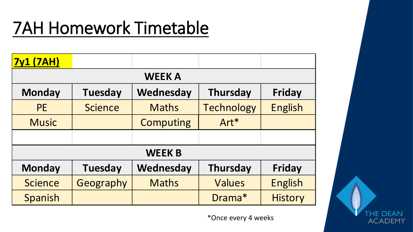# 7AH Homework Timetable

| <b>7y1 (7AH)</b>                                                                 |                |                  |                   |                |  |  |  |  |
|----------------------------------------------------------------------------------|----------------|------------------|-------------------|----------------|--|--|--|--|
| <b>WEEK A</b>                                                                    |                |                  |                   |                |  |  |  |  |
| Wednesday<br><b>Monday</b><br><b>Tuesday</b><br><b>Thursday</b><br><b>Friday</b> |                |                  |                   |                |  |  |  |  |
| <b>PE</b>                                                                        | <b>Science</b> | <b>Maths</b>     | <b>Technology</b> | <b>English</b> |  |  |  |  |
| <b>Music</b>                                                                     |                | <b>Computing</b> | Art*              |                |  |  |  |  |
|                                                                                  |                |                  |                   |                |  |  |  |  |
|                                                                                  |                | <b>WEEK B</b>    |                   |                |  |  |  |  |
| <b>Monday</b>                                                                    | <b>Tuesday</b> | Wednesday        | <b>Thursday</b>   | <b>Friday</b>  |  |  |  |  |
| <b>Science</b>                                                                   | Geography      | <b>Maths</b>     | <b>Values</b>     | <b>English</b> |  |  |  |  |
| Spanish                                                                          |                |                  | Drama*            | <b>History</b> |  |  |  |  |

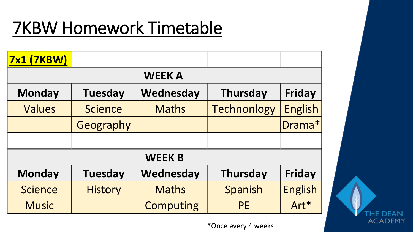# 7KBW Homework Timetable

| <b>7x1 (7KBW)</b> |                |                  |                    |                |  |  |  |  |  |
|-------------------|----------------|------------------|--------------------|----------------|--|--|--|--|--|
|                   | <b>WEEK A</b>  |                  |                    |                |  |  |  |  |  |
| <b>Monday</b>     | <b>Tuesday</b> | Wednesday        | <b>Thursday</b>    | <b>Friday</b>  |  |  |  |  |  |
| Values            | <b>Science</b> | <b>Maths</b>     | <b>Technonlogy</b> | <b>English</b> |  |  |  |  |  |
|                   | Geography      |                  |                    | Drama*         |  |  |  |  |  |
|                   |                |                  |                    |                |  |  |  |  |  |
|                   |                | <b>WEEK B</b>    |                    |                |  |  |  |  |  |
| <b>Monday</b>     | <b>Tuesday</b> | Wednesday        | <b>Thursday</b>    | <b>Friday</b>  |  |  |  |  |  |
| <b>Science</b>    | <b>History</b> | <b>Maths</b>     | Spanish            | <b>English</b> |  |  |  |  |  |
| <b>Music</b>      |                | <b>Computing</b> | <b>PE</b>          | Art*           |  |  |  |  |  |

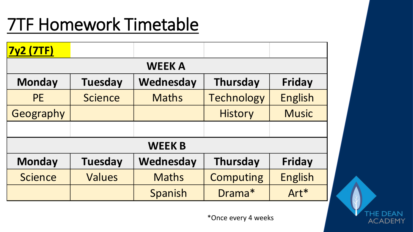#### 7TF Homework Timetable

| <b>7y2 (7TF)</b> |                                                                        |               |                   |                |  |  |  |  |  |
|------------------|------------------------------------------------------------------------|---------------|-------------------|----------------|--|--|--|--|--|
|                  | <b>WEEK A</b>                                                          |               |                   |                |  |  |  |  |  |
| <b>Monday</b>    | <b>Wednesday</b><br><b>Tuesday</b><br><b>Thursday</b><br><b>Friday</b> |               |                   |                |  |  |  |  |  |
| <b>PE</b>        | <b>Science</b>                                                         | <b>Maths</b>  | <b>Technology</b> | <b>English</b> |  |  |  |  |  |
| Geography        |                                                                        |               | <b>History</b>    | <b>Music</b>   |  |  |  |  |  |
|                  |                                                                        |               |                   |                |  |  |  |  |  |
|                  |                                                                        | <b>WEEK B</b> |                   |                |  |  |  |  |  |
| <b>Monday</b>    | <b>Tuesday</b>                                                         | Wednesday     | <b>Thursday</b>   | <b>Friday</b>  |  |  |  |  |  |
| <b>Science</b>   | <b>Values</b>                                                          | <b>Maths</b>  | <b>Computing</b>  | <b>English</b> |  |  |  |  |  |
|                  |                                                                        | Spanish       | Drama*            | Art*           |  |  |  |  |  |

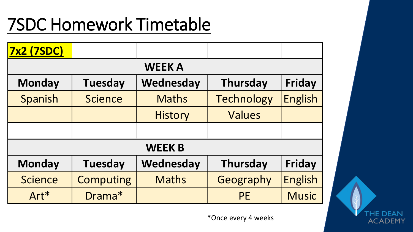#### 7SDC Homework Timetable

| <b>7x2 (7SDC)</b> |                  |                |                   |                |  |  |  |  |  |
|-------------------|------------------|----------------|-------------------|----------------|--|--|--|--|--|
|                   | <b>WEEK A</b>    |                |                   |                |  |  |  |  |  |
| <b>Monday</b>     | <b>Tuesday</b>   | Wednesday      | <b>Thursday</b>   | Friday         |  |  |  |  |  |
| Spanish           | <b>Science</b>   | <b>Maths</b>   | <b>Technology</b> | <b>English</b> |  |  |  |  |  |
|                   |                  | <b>History</b> | Values            |                |  |  |  |  |  |
|                   |                  |                |                   |                |  |  |  |  |  |
|                   |                  | <b>WEEK B</b>  |                   |                |  |  |  |  |  |
| <b>Monday</b>     | <b>Tuesday</b>   | Wednesday      | <b>Thursday</b>   | <b>Friday</b>  |  |  |  |  |  |
| <b>Science</b>    | <b>Computing</b> | <b>Maths</b>   | Geography         | <b>English</b> |  |  |  |  |  |
| Art*              | Drama*           |                | <b>PE</b>         | <b>Music</b>   |  |  |  |  |  |

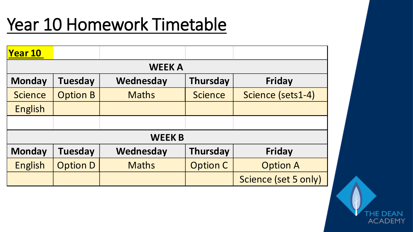### Year 10 Homework Timetable

| <b>Year 10</b> |                 |               |                 |                      |  |  |  |  |  |
|----------------|-----------------|---------------|-----------------|----------------------|--|--|--|--|--|
|                | <b>WEEK A</b>   |               |                 |                      |  |  |  |  |  |
| <b>Monday</b>  | <b>Tuesday</b>  | Wednesday     | <b>Thursday</b> | Friday               |  |  |  |  |  |
| <b>Science</b> | <b>Option B</b> | <b>Maths</b>  | <b>Science</b>  | Science (sets1-4)    |  |  |  |  |  |
| English        |                 |               |                 |                      |  |  |  |  |  |
|                |                 |               |                 |                      |  |  |  |  |  |
|                |                 | <b>WEEK B</b> |                 |                      |  |  |  |  |  |
| <b>Monday</b>  | <b>Tuesday</b>  | Wednesday     | <b>Thursday</b> | Friday               |  |  |  |  |  |
| <b>English</b> | <b>Option D</b> | <b>Maths</b>  | <b>Option C</b> | <b>Option A</b>      |  |  |  |  |  |
|                |                 |               |                 | Science (set 5 only) |  |  |  |  |  |

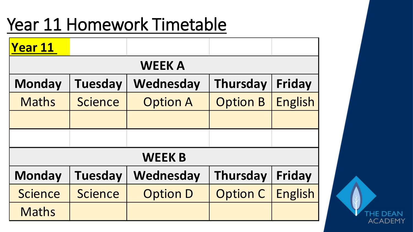### Year 11 Homework Timetable

| <b>Year 11</b> |                |                 |                 |                |
|----------------|----------------|-----------------|-----------------|----------------|
|                |                | <b>WEEK A</b>   |                 |                |
| <b>Monday</b>  | <b>Tuesday</b> | Wednesday       | <b>Thursday</b> | Friday         |
| <b>Maths</b>   | <b>Science</b> | <b>Option A</b> | <b>Option B</b> | <b>English</b> |
|                |                |                 |                 |                |
|                |                |                 |                 |                |
|                |                | <b>WEEK B</b>   |                 |                |
| <b>Monday</b>  | <b>Tuesday</b> | Wednesday       | <b>Thursday</b> | Friday         |
| <b>Science</b> | <b>Science</b> | <b>Option D</b> | <b>Option C</b> | <b>English</b> |
| <b>Maths</b>   |                |                 |                 |                |

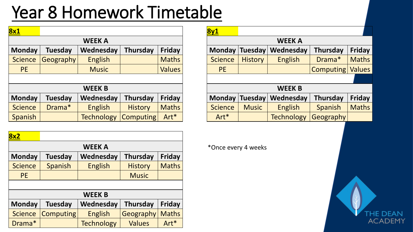# Year 8 Homework Timetable

| <b>WEEK A</b>  |                   |                 |               |           |                |                | <b>WEEK A</b>     |                                  |                               |
|----------------|-------------------|-----------------|---------------|-----------|----------------|----------------|-------------------|----------------------------------|-------------------------------|
| <b>Tuesday</b> | Wednesday         | <b>Thursday</b> | <b>Friday</b> |           |                |                | Wednesday         | Thursday                         | <b>Friday</b>                 |
| Geography      | <b>English</b>    |                 | <b>Maths</b>  |           | <b>Science</b> | <b>History</b> | <b>English</b>    | Drama*                           | <b>Maths</b>                  |
|                | <b>Music</b>      |                 | <b>Values</b> |           | <b>PE</b>      |                |                   |                                  | <b>Values</b>                 |
|                |                   |                 |               |           |                |                |                   |                                  |                               |
|                | <b>WEEK B</b>     |                 |               |           |                |                | <b>WEEK B</b>     |                                  |                               |
| <b>Tuesday</b> | Wednesday         | <b>Thursday</b> | <b>Friday</b> |           |                |                | Wednesday         | <b>Thursday</b>                  | <b>Friday</b>                 |
| Drama*         | <b>English</b>    | <b>History</b>  | <b>Maths</b>  |           | <b>Science</b> | <b>Music</b>   | <b>English</b>    | <b>Spanish</b>                   | <b>Maths</b>                  |
|                | <b>Technology</b> |                 | Art*          |           | Art*           |                | <b>Technology</b> |                                  |                               |
|                |                   |                 |               | Computing |                | 8y1            |                   | Monday Tuesday<br>Monday Tuesday | Computing<br><b>Geography</b> |

| <b>8x2</b>     |                  |                   |                 |              |  |  |  |  |  |
|----------------|------------------|-------------------|-----------------|--------------|--|--|--|--|--|
|                | <b>WEEK A</b>    |                   |                 |              |  |  |  |  |  |
| <b>Monday</b>  | Tuesday          | Wednesday         | <b>Thursday</b> | Friday       |  |  |  |  |  |
| <b>Science</b> | Spanish          | <b>English</b>    | <b>History</b>  | <b>Maths</b> |  |  |  |  |  |
| <b>PE</b>      |                  |                   | <b>Music</b>    |              |  |  |  |  |  |
|                |                  |                   |                 |              |  |  |  |  |  |
|                |                  | <b>WEEK B</b>     |                 |              |  |  |  |  |  |
| <b>Monday</b>  | <b>Tuesday</b>   | Wednesday         | <b>Thursday</b> | Friday       |  |  |  |  |  |
| <b>Science</b> | <b>Computing</b> | <b>English</b>    | Geography       | <b>Maths</b> |  |  |  |  |  |
| Drama*         |                  | <b>Technology</b> | <b>Values</b>   | $Art*$       |  |  |  |  |  |

|               |                  |                   |                  |               | <u>8y1</u>     |                |                   |                |               |
|---------------|------------------|-------------------|------------------|---------------|----------------|----------------|-------------------|----------------|---------------|
| <b>WEEK A</b> |                  |                   |                  |               | <b>WEEK A</b>  |                |                   |                |               |
| nday          | <b>Tuesday</b>   | Wednesday         | <b>Thursday</b>  | <b>Friday</b> | Monday         | <b>Tuesday</b> | Wednesday         | Thursday       | <b>Friday</b> |
| ence          | <b>Geography</b> | <b>English</b>    |                  | <b>Maths</b>  | <b>Science</b> | <b>History</b> | <b>English</b>    | Drama*         | <b>Maths</b>  |
| PE            |                  | <b>Music</b>      |                  | <b>Values</b> | <b>PE</b>      |                |                   | Computing      | <b>Values</b> |
|               |                  |                   |                  |               |                |                |                   |                |               |
|               |                  | <b>WEEK B</b>     |                  |               |                |                | <b>WEEK B</b>     |                |               |
| nday          | <b>Tuesday</b>   | Wednesday         | <b>Thursday</b>  | <b>Friday</b> | <b>Monday</b>  | <b>Tuesday</b> | Wednesday         | Thursday       | <b>Friday</b> |
| ence          | Drama*           | <b>English</b>    | <b>History</b>   | <b>Maths</b>  | <b>Science</b> | <b>Music</b>   | <b>English</b>    | <b>Spanish</b> | <b>Maths</b>  |
| anish         |                  | <b>Technology</b> | <b>Computing</b> | Art*          | Art*           |                | <b>Technology</b> | Geography      |               |

**WEEK A** \*Once every 4 weeks

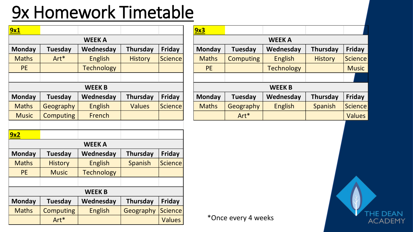#### 9x Homework Timetable

| <u>9x1</u>    |                  |                   |                 |                |  |  |  |  |  |  |
|---------------|------------------|-------------------|-----------------|----------------|--|--|--|--|--|--|
|               | <b>WEEK A</b>    |                   |                 |                |  |  |  |  |  |  |
| <b>Monday</b> | <b>Tuesday</b>   | Wednesday         | <b>Thursday</b> | <b>Friday</b>  |  |  |  |  |  |  |
| <b>Maths</b>  | Art*             | <b>English</b>    | <b>History</b>  | <b>Science</b> |  |  |  |  |  |  |
| <b>PE</b>     |                  | <b>Technology</b> |                 |                |  |  |  |  |  |  |
|               |                  |                   |                 |                |  |  |  |  |  |  |
|               |                  | <b>WEEK B</b>     |                 |                |  |  |  |  |  |  |
| <b>Monday</b> | <b>Tuesday</b>   | Wednesday         | <b>Thursday</b> | <b>Friday</b>  |  |  |  |  |  |  |
| <b>Maths</b>  | Geography        | <b>English</b>    | <b>Values</b>   | <b>Science</b> |  |  |  |  |  |  |
| <b>Music</b>  | <b>Computing</b> | French            |                 |                |  |  |  |  |  |  |
|               |                  |                   |                 |                |  |  |  |  |  |  |
| <u>9x2</u>    |                  |                   |                 |                |  |  |  |  |  |  |
|               |                  | <b>WEEK A</b>     |                 |                |  |  |  |  |  |  |
| <b>Monday</b> | Tuesday          | Wednesday         | <b>Thursday</b> | <b>Friday</b>  |  |  |  |  |  |  |
| <b>Maths</b>  | <b>History</b>   | <b>English</b>    | Spanish         | <b>Science</b> |  |  |  |  |  |  |
| <b>PE</b>     | <b>Music</b>     | <b>Technology</b> |                 |                |  |  |  |  |  |  |
|               |                  |                   |                 |                |  |  |  |  |  |  |
|               |                  | <b>WEEK B</b>     |                 |                |  |  |  |  |  |  |
| <b>Monday</b> | <b>Tuesday</b>   | Wednesday         | <b>Thursday</b> | <b>Friday</b>  |  |  |  |  |  |  |
| <b>Maths</b>  | <b>Computing</b> | <b>English</b>    | Geography       | <b>Science</b> |  |  |  |  |  |  |
|               | Art*             |                   |                 | <b>Values</b>  |  |  |  |  |  |  |

| 9x3           |                  |                   |                 |                |  |  |  |  |  |
|---------------|------------------|-------------------|-----------------|----------------|--|--|--|--|--|
|               | <b>WEEK A</b>    |                   |                 |                |  |  |  |  |  |
| <b>Monday</b> | <b>Tuesday</b>   | Wednesday         | <b>Thursday</b> | Friday         |  |  |  |  |  |
| <b>Maths</b>  | <b>Computing</b> | <b>English</b>    | <b>History</b>  | <b>Science</b> |  |  |  |  |  |
| <b>PE</b>     |                  | <b>Technology</b> |                 | <b>Music</b>   |  |  |  |  |  |
|               |                  |                   |                 |                |  |  |  |  |  |
|               |                  | <b>WEEK B</b>     |                 |                |  |  |  |  |  |
| <b>Monday</b> | <b>Tuesday</b>   | Wednesday         | <b>Thursday</b> | Friday         |  |  |  |  |  |
| <b>Maths</b>  | Geography        | <b>English</b>    | Spanish         | <b>Science</b> |  |  |  |  |  |
|               | Art*             |                   |                 | <b>Values</b>  |  |  |  |  |  |